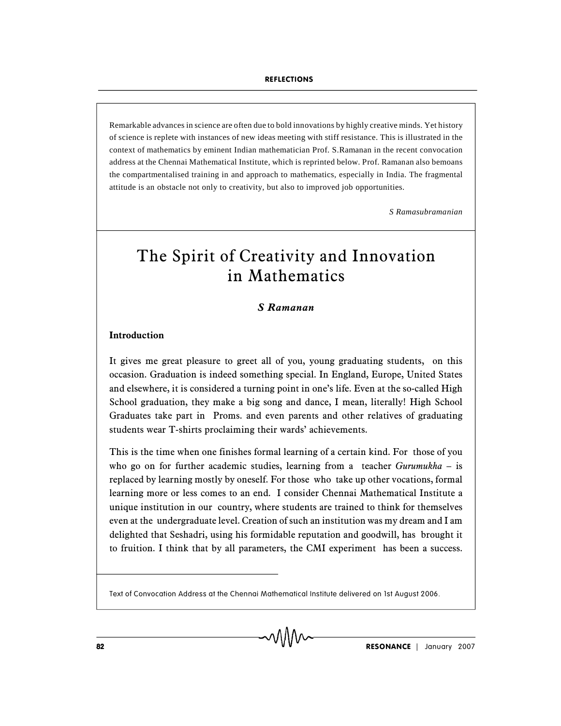Remarkable advances in science are often due to bold innovations by highly creative minds. Yet history of science is replete with instances of new ideas meeting with stiff resistance. This is illustrated in the context of mathematics by eminent Indian mathematician Prof. S.Ramanan in the recent convocation address at the Chennai Mathematical Institute, which is reprinted below. Prof. Ramanan also bemoans the compartmentalised training in and approach to mathematics, especially in India. The fragmental attitude is an obstacle not only to creativity, but also to improved job opportunities.

*S Ramasubramanian*

# The Spirit of Creativity and Innovation in Mathematics

# *S Ramanan*

## **Introduction**

It gives me great pleasure to greet all of you, young graduating students, on this occasion. Graduation is indeed something special. In England, Europe, United States and elsewhere, it is considered a turning point in one's life. Even at the so-called High School graduation, they make a big song and dance, I mean, literally! High School Graduates take part in Proms. and even parents and other relatives of graduating students wear T-shirts proclaiming their wards' achievements.

This is the time when one finishes formal learning of a certain kind. For those of you who go on for further academic studies, learning from a teacher  $Gurumukha - is$ replaced by learning mostly by oneself. For those who take up other vocations, formal learning more or less comes to an end. I consider Chennai Mathematical Institute a unique institution in our country, where students are trained to think for themselves even at the undergraduate level. Creation of such an institution was my dream and I am delighted that Seshadri, using his formidable reputation and goodwill, has brought it to fruition. I think that by all parameters, the CMI experiment has been a success.

Text of Convocation Address at the Chennai Mathematical Institute delivered on 1st August 2006.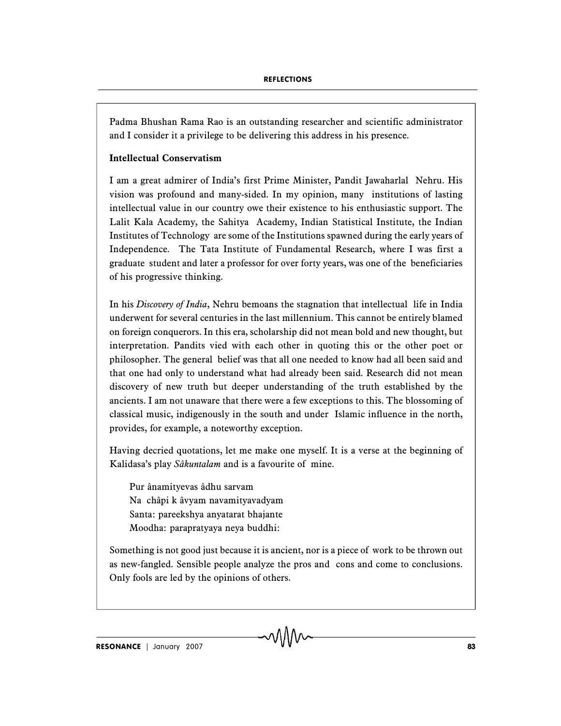Padma Bhushan Rama Rao is an outstanding researcher and scientific administrator and I consider it a privilege to be delivering this address in his presence.

# **Intellectual Conservatism**

I am a great admirer of Indiaís first Prime Minister, Pandit Jawaharlal Nehru. His vision was profound and many-sided. In my opinion, many institutions of lasting intellectual value in our country owe their existence to his enthusiastic support. The Lalit Kala Academy, the Sahitya Academy, Indian Statistical Institute, the Indian Institutes of Technology are some of the Institutions spawned during the early years of Independence. The Tata Institute of Fundamental Research, where I was first a graduate student and later a professor for over forty years, was one of the beneficiaries of his progressive thinking.

In his *Discovery of India*, Nehru bemoans the stagnation that intellectual life in India underwent for several centuries in the last millennium. This cannot be entirely blamed on foreign conquerors. In this era, scholarship did not mean bold and new thought, but interpretation. Pandits vied with each other in quoting this or the other poet or philosopher. The general belief was that all one needed to know had all been said and that one had only to understand what had already been said. Research did not mean discovery of new truth but deeper understanding of the truth established by the ancients. I am not unaware that there were a few exceptions to this. The blossoming of classical music, indigenously in the south and under Islamic influence in the north, provides, for example, a noteworthy exception.

Having decried quotations, let me make one myself. It is a verse at the beginning of Kalidasa's play *Sâkuntalam* and is a favourite of mine.

Pur ânamityevas âdhu sarvam Na châpi k âvyam navamityavadyam Santa: pareekshya anyatarat bhajante Moodha: parapratyaya neya buddhi:

Something is not good just because it is ancient, nor is a piece of work to be thrown out as new-fangled. Sensible people analyze the pros and cons and come to conclusions. Only fools are led by the opinions of others.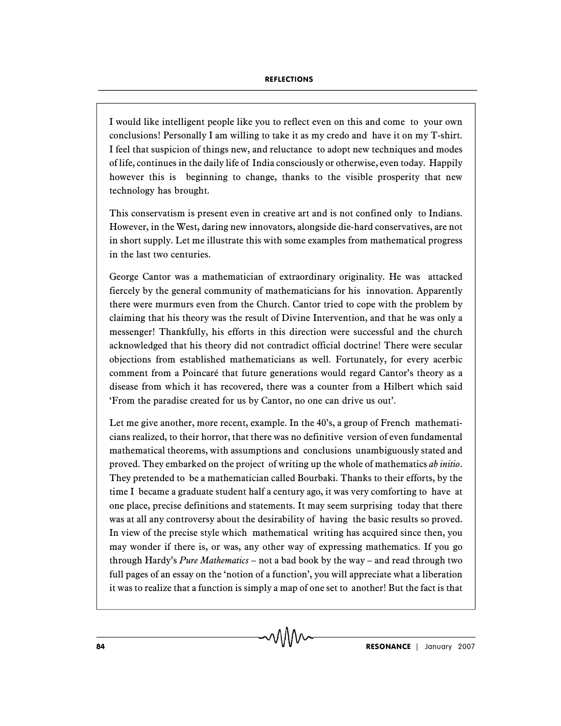I would like intelligent people like you to reflect even on this and come to your own conclusions! Personally I am willing to take it as my credo and have it on my T-shirt. I feel that suspicion of things new, and reluctance to adopt new techniques and modes of life, continues in the daily life of India consciously or otherwise, even today. Happily however this is beginning to change, thanks to the visible prosperity that new technology has brought.

This conservatism is present even in creative art and is not confined only to Indians. However, in the West, daring new innovators, alongside die-hard conservatives, are not in short supply. Let me illustrate this with some examples from mathematical progress in the last two centuries.

George Cantor was a mathematician of extraordinary originality. He was attacked fiercely by the general community of mathematicians for his innovation. Apparently there were murmurs even from the Church. Cantor tried to cope with the problem by claiming that his theory was the result of Divine Intervention, and that he was only a messenger! Thankfully, his efforts in this direction were successful and the church acknowledged that his theory did not contradict official doctrine! There were secular objections from established mathematicians as well. Fortunately, for every acerbic comment from a Poincaré that future generations would regard Cantor's theory as a disease from which it has recovered, there was a counter from a Hilbert which said 'From the paradise created for us by Cantor, no one can drive us out'.

Let me give another, more recent, example. In the 40's, a group of French mathematicians realized, to their horror, that there was no definitive version of even fundamental mathematical theorems, with assumptions and conclusions unambiguously stated and proved. They embarked on the project of writing up the whole of mathematics *ab initio*. They pretended to be a mathematician called Bourbaki. Thanks to their efforts, by the time I became a graduate student half a century ago, it was very comforting to have at one place, precise definitions and statements. It may seem surprising today that there was at all any controversy about the desirability of having the basic results so proved. In view of the precise style which mathematical writing has acquired since then, you may wonder if there is, or was, any other way of expressing mathematics. If you go through Hardy's *Pure Mathematics* – not a bad book by the way – and read through two full pages of an essay on the 'notion of a function', you will appreciate what a liberation it was to realize that a function is simply a map of one set to another! But the fact is that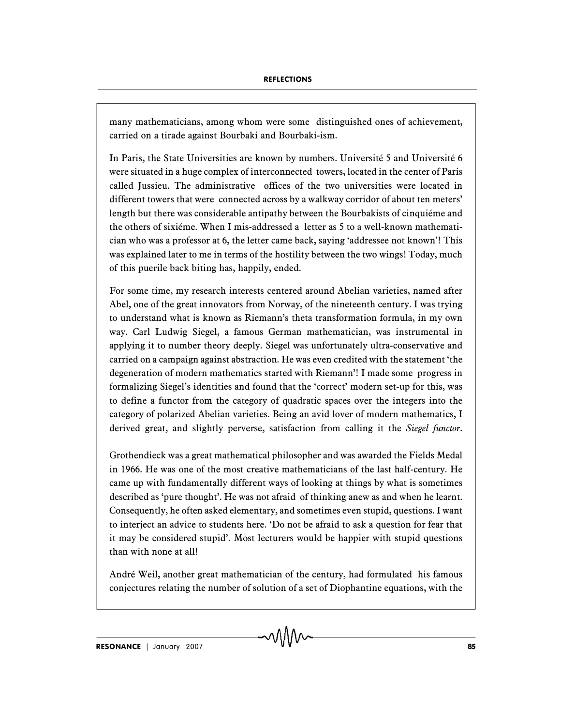many mathematicians, among whom were some distinguished ones of achievement, carried on a tirade against Bourbaki and Bourbaki-ism.

In Paris, the State Universities are known by numbers. Université 5 and Université 6 were situated in a huge complex of interconnected towers, located in the center of Paris called Jussieu. The administrative offices of the two universities were located in different towers that were connected across by a walkway corridor of about ten meters' length but there was considerable antipathy between the Bourbakists of cinquième and the others of sixiéme. When I mis-addressed a letter as 5 to a well-known mathematician who was a professor at 6, the letter came back, saying ëaddressee not knowní! This was explained later to me in terms of the hostility between the two wings! Today, much of this puerile back biting has, happily, ended.

For some time, my research interests centered around Abelian varieties, named after Abel, one of the great innovators from Norway, of the nineteenth century. I was trying to understand what is known as Riemann's theta transformation formula, in my own way. Carl Ludwig Siegel, a famous German mathematician, was instrumental in applying it to number theory deeply. Siegel was unfortunately ultra-conservative and carried on a campaign against abstraction. He was even credited with the statement 'the degeneration of modern mathematics started with Riemann'! I made some progress in formalizing Siegel's identities and found that the 'correct' modern set-up for this, was to define a functor from the category of quadratic spaces over the integers into the category of polarized Abelian varieties. Being an avid lover of modern mathematics, I derived great, and slightly perverse, satisfaction from calling it the *Siegel functor*.

Grothendieck was a great mathematical philosopher and was awarded the Fields Medal in 1966. He was one of the most creative mathematicians of the last half-century. He came up with fundamentally different ways of looking at things by what is sometimes described as 'pure thought'. He was not afraid of thinking anew as and when he learnt. Consequently, he often asked elementary, and sometimes even stupid, questions. I want to interject an advice to students here. 'Do not be afraid to ask a question for fear that it may be considered stupid'. Most lecturers would be happier with stupid questions than with none at all!

André Weil, another great mathematician of the century, had formulated his famous conjectures relating the number of solution of a set of Diophantine equations, with the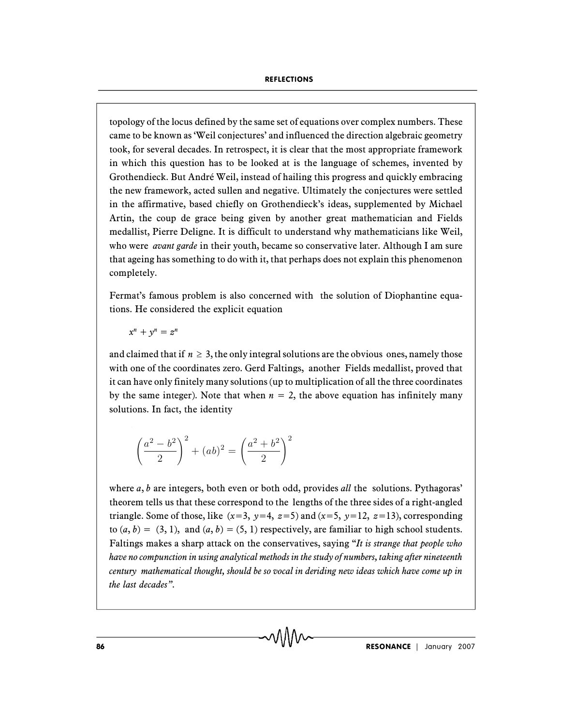topology of the locus defined by the same set of equations over complex numbers. These came to be known as 'Weil conjectures' and influenced the direction algebraic geometry took, for several decades. In retrospect, it is clear that the most appropriate framework in which this question has to be looked at is the language of schemes, invented by Grothendieck. But André Weil, instead of hailing this progress and quickly embracing the new framework, acted sullen and negative. Ultimately the conjectures were settled in the affirmative, based chiefly on Grothendieck's ideas, supplemented by Michael Artin, the coup de grace being given by another great mathematician and Fields medallist, Pierre Deligne. It is difficult to understand why mathematicians like Weil, who were *avant garde* in their youth, became so conservative later. Although I am sure that ageing has something to do with it, that perhaps does not explain this phenomenon completely.

Fermat's famous problem is also concerned with the solution of Diophantine equations. He considered the explicit equation

 $x^n + y^n = z^n$ 

and claimed that if  $n \geq 3$ , the only integral solutions are the obvious ones, namely those with one of the coordinates zero. Gerd Faltings, another Fields medallist, proved that it can have only finitely many solutions (up to multiplication of all the three coordinates by the same integer). Note that when  $n = 2$ , the above equation has infinitely many solutions. In fact, the identity dinates zero. G<br>ely many solut<br>). Note that w<br>e identity<br> $+(ab)^2 = \int \frac{d^2b}{dt^2}$ 

$$
\left(\frac{a^2 - b^2}{2}\right)^2 + (ab)^2 = \left(\frac{a^2 + b^2}{2}\right)^2
$$

where *a*, *b* are integers, both even or both odd, provides *all* the solutions. Pythagoras' theorem tells us that these correspond to the lengths of the three sides of a right-angled triangle. Some of those, like  $(x=3, y=4, z=5)$  and  $(x=5, y=12, z=13)$ , corresponding to  $(a, b) = (3, 1)$ , and  $(a, b) = (5, 1)$  respectively, are familiar to high school students. Faltings makes a sharp attack on the conservatives, saying "It is strange that people who *have no compunction in using analytical methods in the study of numbers, taking after nineteenth century mathematical thought, should be so vocal in deriding new ideas which have come up in* the last decades".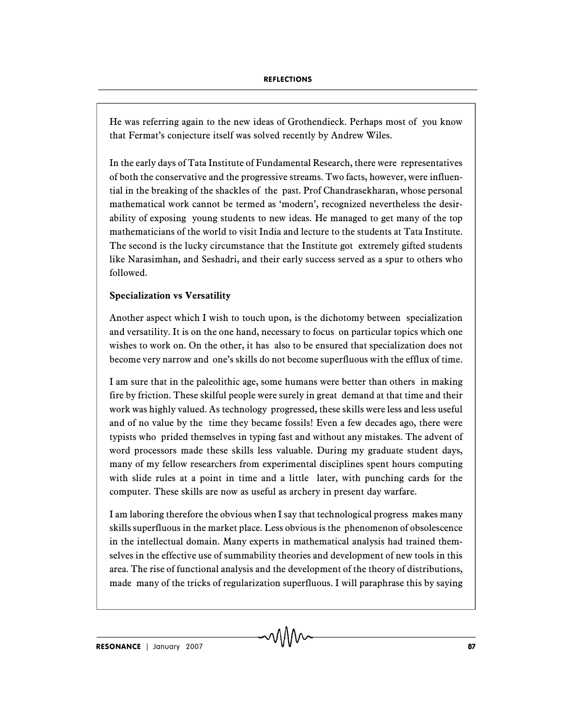He was referring again to the new ideas of Grothendieck. Perhaps most of you know that Fermat's conjecture itself was solved recently by Andrew Wiles.

In the early days of Tata Institute of Fundamental Research, there were representatives of both the conservative and the progressive streams. Two facts, however, were influential in the breaking of the shackles of the past. Prof Chandrasekharan, whose personal mathematical work cannot be termed as 'modern', recognized nevertheless the desirability of exposing young students to new ideas. He managed to get many of the top mathematicians of the world to visit India and lecture to the students at Tata Institute. The second is the lucky circumstance that the Institute got extremely gifted students like Narasimhan, and Seshadri, and their early success served as a spur to others who followed.

# **Specialization vs Versatility**

Another aspect which I wish to touch upon, is the dichotomy between specialization and versatility. It is on the one hand, necessary to focus on particular topics which one wishes to work on. On the other, it has also to be ensured that specialization does not become very narrow and one's skills do not become superfluous with the efflux of time.

I am sure that in the paleolithic age, some humans were better than others in making fire by friction. These skilful people were surely in great demand at that time and their work was highly valued. As technology progressed, these skills were less and less useful and of no value by the time they became fossils! Even a few decades ago, there were typists who prided themselves in typing fast and without any mistakes. The advent of word processors made these skills less valuable. During my graduate student days, many of my fellow researchers from experimental disciplines spent hours computing with slide rules at a point in time and a little later, with punching cards for the computer. These skills are now as useful as archery in present day warfare.

I am laboring therefore the obvious when I say that technological progress makes many skills superfluous in the market place. Less obvious is the phenomenon of obsolescence in the intellectual domain. Many experts in mathematical analysis had trained themselves in the effective use of summability theories and development of new tools in this area. The rise of functional analysis and the development of the theory of distributions, made many of the tricks of regularization superfluous. I will paraphrase this by saying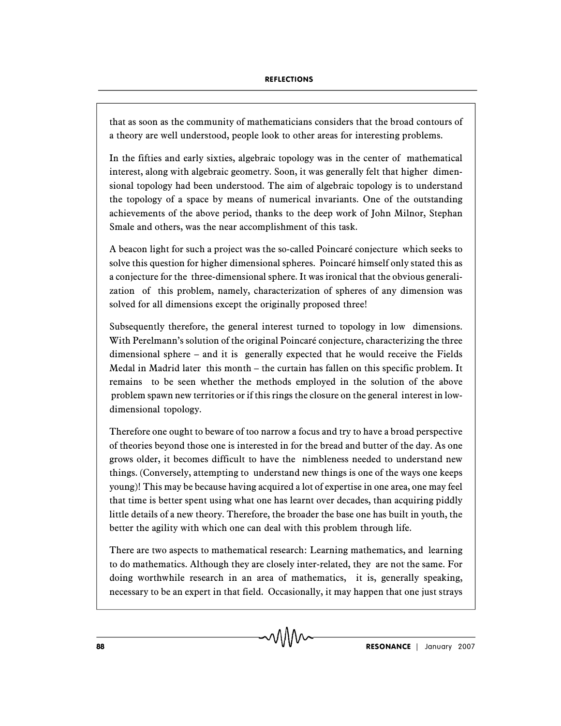that as soon as the community of mathematicians considers that the broad contours of a theory are well understood, people look to other areas for interesting problems.

In the fifties and early sixties, algebraic topology was in the center of mathematical interest, along with algebraic geometry. Soon, it was generally felt that higher dimensional topology had been understood. The aim of algebraic topology is to understand the topology of a space by means of numerical invariants. One of the outstanding achievements of the above period, thanks to the deep work of John Milnor, Stephan Smale and others, was the near accomplishment of this task.

A beacon light for such a project was the so-called Poincaré conjecture which seeks to solve this question for higher dimensional spheres. Poincaré himself only stated this as a conjecture for the three-dimensional sphere. It was ironical that the obvious generalization of this problem, namely, characterization of spheres of any dimension was solved for all dimensions except the originally proposed three!

Subsequently therefore, the general interest turned to topology in low dimensions. With Perelmann's solution of the original Poincaré conjecture, characterizing the three dimensional sphere  $-$  and it is generally expected that he would receive the Fields Medal in Madrid later this month  $-$  the curtain has fallen on this specific problem. It remains to be seen whether the methods employed in the solution of the above problem spawn new territories or if this rings the closure on the general interest in lowdimensional topology.

Therefore one ought to beware of too narrow a focus and try to have a broad perspective of theories beyond those one is interested in for the bread and butter of the day. As one grows older, it becomes difficult to have the nimbleness needed to understand new things. (Conversely, attempting to understand new things is one of the ways one keeps young)! This may be because having acquired a lot of expertise in one area, one may feel that time is better spent using what one has learnt over decades, than acquiring piddly little details of a new theory. Therefore, the broader the base one has built in youth, the better the agility with which one can deal with this problem through life.

There are two aspects to mathematical research: Learning mathematics, and learning to do mathematics. Although they are closely inter-related, they are not the same. For doing worthwhile research in an area of mathematics, it is, generally speaking, necessary to be an expert in that field. Occasionally, it may happen that one just strays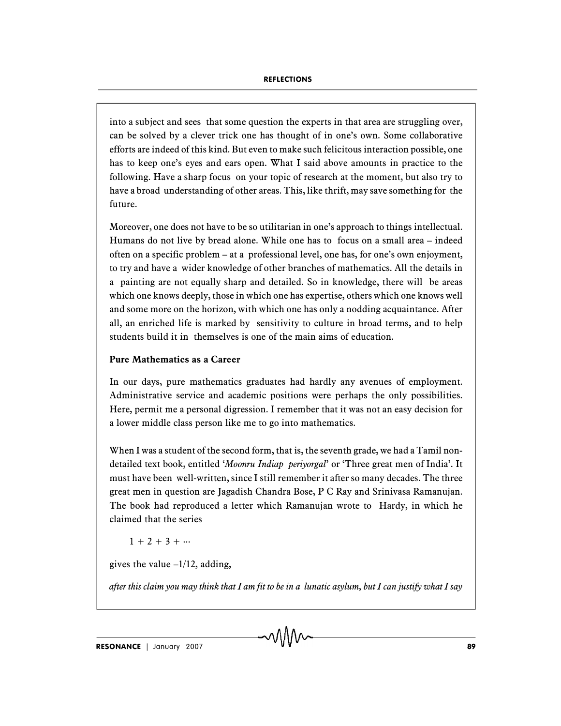into a subject and sees that some question the experts in that area are struggling over, can be solved by a clever trick one has thought of in one's own. Some collaborative efforts are indeed of this kind. But even to make such felicitous interaction possible, one has to keep one's eyes and ears open. What I said above amounts in practice to the following. Have a sharp focus on your topic of research at the moment, but also try to have a broad understanding of other areas. This, like thrift, may save something for the future.

Moreover, one does not have to be so utilitarian in one's approach to things intellectual. Humans do not live by bread alone. While one has to focus on a small area  $-$  indeed often on a specific problem  $-$  at a professional level, one has, for one's own enjoyment, to try and have a wider knowledge of other branches of mathematics. All the details in a painting are not equally sharp and detailed. So in knowledge, there will be areas which one knows deeply, those in which one has expertise, others which one knows well and some more on the horizon, with which one has only a nodding acquaintance. After all, an enriched life is marked by sensitivity to culture in broad terms, and to help students build it in themselves is one of the main aims of education.

# **Pure Mathematics as a Career**

In our days, pure mathematics graduates had hardly any avenues of employment. Administrative service and academic positions were perhaps the only possibilities. Here, permit me a personal digression. I remember that it was not an easy decision for a lower middle class person like me to go into mathematics.

When I was a student of the second form, that is, the seventh grade, we had a Tamil nondetailed text book, entitled 'Moonru Indiap periyorgal' or 'Three great men of India'. It must have been well-written, since I still remember it after so many decades. The three great men in question are Jagadish Chandra Bose, P C Ray and Srinivasa Ramanujan. The book had reproduced a letter which Ramanujan wrote to Hardy, in which he claimed that the series

 $1 + 2 + 3 + \cdots$ 

gives the value  $-1/12$ , adding,

*after this claim you may think that I am fit to be in a lunatic asylum, but I can justify what I say*